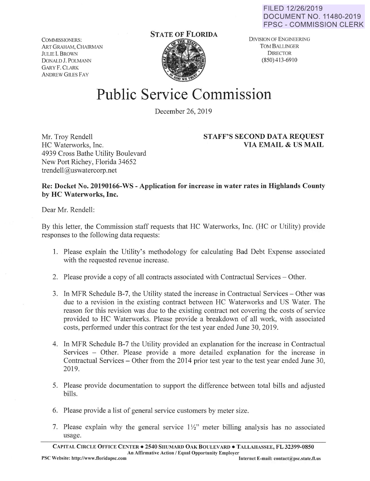COMMISSIONERS: ART GRAHAM, CHAIRMAN JULIE I. BROWN DONALD J. POLMANN GARY F. CLARK ANDREW GILES FAY

## **STATE OF FLORIDA**



DIVISION OF ENGINEERING TOM BALLINGER **DIRECTOR** (850)413-6910

## **Public Service Commission**

December 26, 2019

Mr. Troy Rendell HC Waterworks, Inc. 4939 Cross Bathe Utility Boulevard New Port Richey, Florida 34652 trendell@uswatercorp.net

## **STAFF'S SECOND DATA REQUEST VIA EMAIL** & **US MAIL**

## **Re: Docket No. 20190166-WS** - **Application for increase in water rates in Highlands County by HC Waterworks, Inc.**

Dear Mr. Rendell:

By this letter, the Commission staff requests that HC Waterworks, Inc. (HC or Utility) provide responses to the following data requests:

- 1. Please explain the Utility's methodology for calculating Bad Debt Expense associated with the requested revenue increase.
- 2. Please provide a copy of all contracts associated with Contractual Services Other.
- 3. In MFR Schedule B-7, the Utility stated the increase in Contractual Services Other was due to a revision in the existing contract between HC Waterworks and US Water. The reason for this revision was due to the existing contract not covering the costs of service provided to HC Waterworks. Please provide a breakdown of all work, with associated costs, performed under this contract for the test year ended June 30, 2019.
- 4. In MFR Schedule B-7 the Utility provided an explanation for the increase in Contractual Services - Other. Please provide a more detailed explanation for the increase in Contractual Services  $-$  Other from the 2014 prior test year to the test year ended June 30, 2019.
- 5. Please provide documentation to support the difference between total bills and adjusted bills.
- 6. Please provide a list of general service customers by meter size.
- 7. Please explain why the general service  $1\frac{1}{2}$ " meter billing analysis has no associated usage.